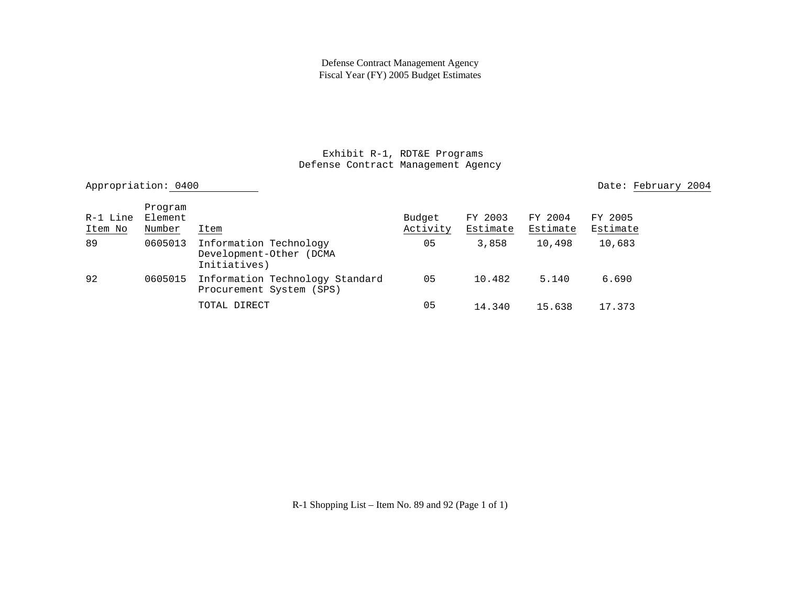### Exhibit R-1, RDT&E Programs Defense Contract Management Agency

| Appropriation: 0400 |                              |                                                                   |                    |                     |                     | Date: February 2004 |
|---------------------|------------------------------|-------------------------------------------------------------------|--------------------|---------------------|---------------------|---------------------|
| R-1 Line<br>Item No | Program<br>Element<br>Number | Item                                                              | Budget<br>Activity | FY 2003<br>Estimate | FY 2004<br>Estimate | FY 2005<br>Estimate |
| 89                  | 0605013                      | Information Technology<br>Development-Other (DCMA<br>Initiatives) | 05                 | 3,858               | 10,498              | 10,683              |
| 92                  | 0605015                      | Information Technology Standard<br>Procurement System (SPS)       | 05                 | 10.482              | 5.140               | 6.690               |
|                     |                              | TOTAL DIRECT                                                      | 05                 | 14.340              | 15.638              | 17.373              |

R-1 Shopping List – Item No. 89 and 92 (Page 1 of 1)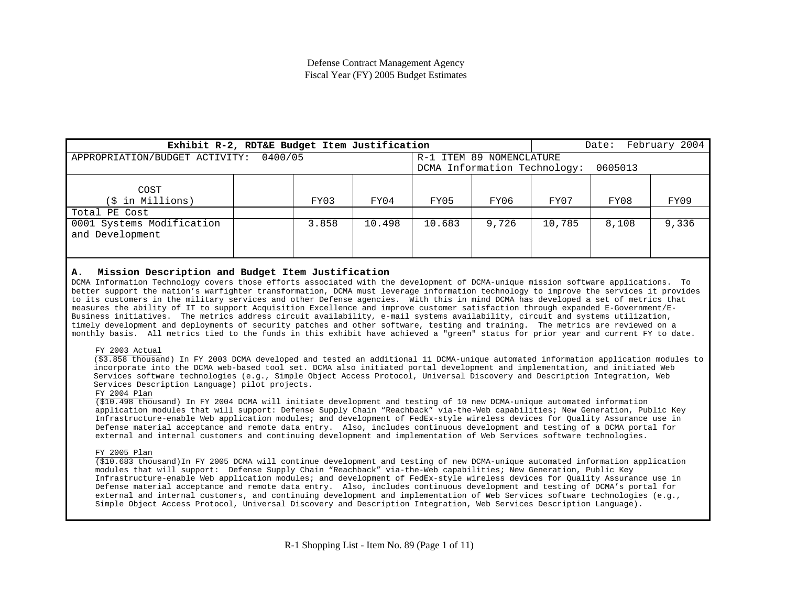| Exhibit R-2, RDT&E Budget Item Justification |         |       |        |        |                              |        | Date:   | February 2004 |
|----------------------------------------------|---------|-------|--------|--------|------------------------------|--------|---------|---------------|
| APPROPRIATION/BUDGET ACTIVITY:               | 0400/05 |       |        | $R-1$  | ITEM 89 NOMENCLATURE         |        |         |               |
|                                              |         |       |        |        | DCMA Information Technology: |        | 0605013 |               |
| COST<br>(\$ in Millions)                     |         | FY03  | FY04   | FY05   | FY06                         | FY07   | FY08    | FY09          |
| Total PE Cost                                |         |       |        |        |                              |        |         |               |
| 0001 Systems Modification<br>and Development |         | 3.858 | 10.498 | 10.683 | 9,726                        | 10,785 | 8,108   | 9,336         |

#### **A. Mission Description and Budget Item Justification**

DCMA Information Technology covers those efforts associated with the development of DCMA-unique mission software applications. To better support the nation's warfighter transformation, DCMA must leverage information technology to improve the services it provides to its customers in the military services and other Defense agencies. With this in mind DCMA has developed a set of metrics that measures the ability of IT to support Acquisition Excellence and improve customer satisfaction through expanded E-Government/E-Business initiatives. The metrics address circuit availability, e-mail systems availability, circuit and systems utilization, timely development and deployments of security patches and other software, testing and training. The metrics are reviewed on a monthly basis. All metrics tied to the funds in this exhibit have achieved a "green" status for prior year and current FY to date.

#### FY 2003 Actual

(\$3.858 thousand) In FY 2003 DCMA developed and tested an additional 11 DCMA-unique automated information application modules to incorporate into the DCMA web-based tool set. DCMA also initiated portal development and implementation, and initiated Web Services software technologies (e.g., Simple Object Access Protocol, Universal Discovery and Description Integration, Web Services Description Language) pilot projects.

#### FY 2004 Plan

(\$10.498 thousand) In FY 2004 DCMA will initiate development and testing of 10 new DCMA-unique automated information application modules that will support: Defense Supply Chain "Reachback" via-the-Web capabilities; New Generation, Public Key Infrastructure-enable Web application modules; and development of FedEx-style wireless devices for Quality Assurance use in Defense material acceptance and remote data entry. Also, includes continuous development and testing of a DCMA portal for external and internal customers and continuing development and implementation of Web Services software technologies.

#### FY 2005 Plan

 (\$10.683 thousand)In FY 2005 DCMA will continue development and testing of new DCMA-unique automated information application modules that will support: Defense Supply Chain "Reachback" via-the-Web capabilities; New Generation, Public Key Infrastructure-enable Web application modules; and development of FedEx-style wireless devices for Quality Assurance use in Defense material acceptance and remote data entry. Also, includes continuous development and testing of DCMA's portal for external and internal customers, and continuing development and implementation of Web Services software technologies (e.g., Simple Object Access Protocol, Universal Discovery and Description Integration, Web Services Description Language).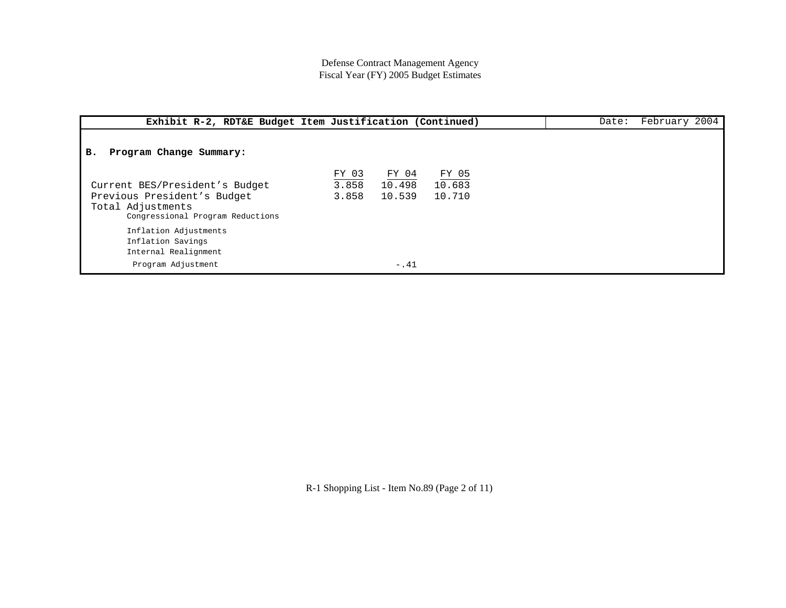|                                                                                                                        | Exhibit R-2, RDT&E Budget Item Justification (Continued)                          | February 2004<br>Date: |
|------------------------------------------------------------------------------------------------------------------------|-----------------------------------------------------------------------------------|------------------------|
| Program Change Summary:<br>в.                                                                                          |                                                                                   |                        |
| Current BES/President's Budget<br>Previous President's Budget<br>Total Adjustments<br>Congressional Program Reductions | FY 03<br>FY 05<br>FY 04<br>10.683<br>3.858<br>10.498<br>10.710<br>3.858<br>10.539 |                        |
| Inflation Adjustments<br>Inflation Savings<br>Internal Realignment<br>Program Adjustment                               | $-.41$                                                                            |                        |

R-1 Shopping List - Item No.89 (Page 2 of 11)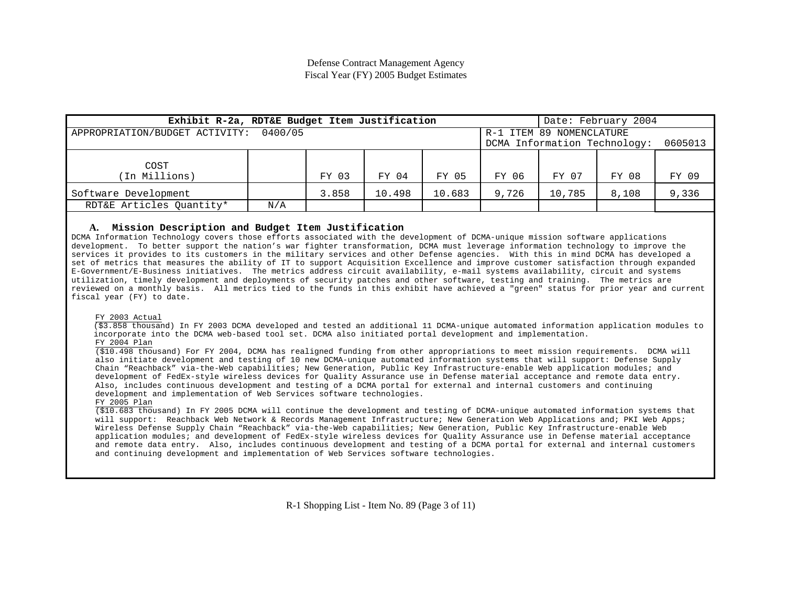| Date: February 2004<br>Exhibit R-2a, RDT&E Budget Item Justification  |     |       |        |        |       |        |       |       |  |  |  |
|-----------------------------------------------------------------------|-----|-------|--------|--------|-------|--------|-------|-------|--|--|--|
| R-1 ITEM 89 NOMENCLATURE<br>APPROPRIATION/BUDGET ACTIVITY:<br>0400/05 |     |       |        |        |       |        |       |       |  |  |  |
| DCMA Information Technology:<br>0605013                               |     |       |        |        |       |        |       |       |  |  |  |
| COST<br>(In Millions)                                                 |     | FY 03 | FY 04  | FY 05  | FY 06 | FY 07  | FY 08 | FY 09 |  |  |  |
| Software Development                                                  |     | 3.858 | 10.498 | 10.683 | 9,726 | 10,785 | 8,108 | 9,336 |  |  |  |
| RDT&E Articles Quantity*                                              | N/A |       |        |        |       |        |       |       |  |  |  |

#### **A. Mission Description and Budget Item Justification**

DCMA Information Technology covers those efforts associated with the development of DCMA-unique mission software applications development. To better support the nation's war fighter transformation, DCMA must leverage information technology to improve the services it provides to its customers in the military services and other Defense agencies. With this in mind DCMA has developed a set of metrics that measures the ability of IT to support Acquisition Excellence and improve customer satisfaction through expanded E-Government/E-Business initiatives. The metrics address circuit availability, e-mail systems availability, circuit and systems utilization, timely development and deployments of security patches and other software, testing and training. The metrics are reviewed on a monthly basis. All metrics tied to the funds in this exhibit have achieved a "green" status for prior year and current fiscal year (FY) to date.

#### FY 2003 Actual

(\$3.858 thousand) In FY 2003 DCMA developed and tested an additional 11 DCMA-unique automated information application modules to incorporate into the DCMA web-based tool set. DCMA also initiated portal development and implementation.

### FY 2004 Plan

(\$10.498 thousand) For FY 2004, DCMA has realigned funding from other appropriations to meet mission requirements. DCMA will also initiate development and testing of 10 new DCMA-unique automated information systems that will support: Defense Supply Chain "Reachback" via-the-Web capabilities; New Generation, Public Key Infrastructure-enable Web application modules; and development of FedEx-style wireless devices for Quality Assurance use in Defense material acceptance and remote data entry. Also, includes continuous development and testing of a DCMA portal for external and internal customers and continuing development and implementation of Web Services software technologies.

#### FY 2005 Plan

(\$10.683 thousand) In FY 2005 DCMA will continue the development and testing of DCMA-unique automated information systems that will support: Reachback Web Network & Records Management Infrastructure; New Generation Web Applications and; PKI Web Apps; Wireless Defense Supply Chain "Reachback" via-the-Web capabilities; New Generation, Public Key Infrastructure-enable Web application modules; and development of FedEx-style wireless devices for Quality Assurance use in Defense material acceptance and remote data entry. Also, includes continuous development and testing of a DCMA portal for external and internal customers and continuing development and implementation of Web Services software technologies.

R-1 Shopping List - Item No. 89 (Page 3 of 11)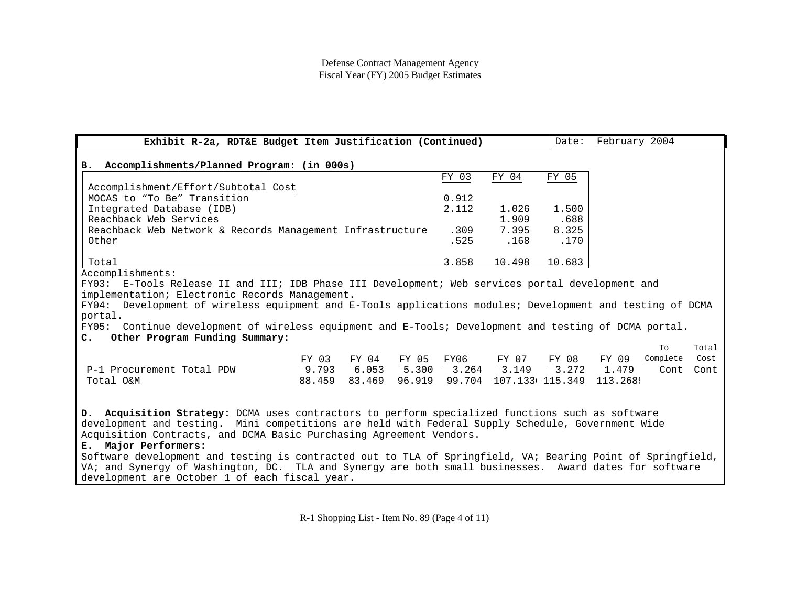| Exhibit R-2a, RDT&E Budget Item Justification (Continued)                                                   |                   |        |       |                                       |                 | Date:  | February 2004 |          |       |
|-------------------------------------------------------------------------------------------------------------|-------------------|--------|-------|---------------------------------------|-----------------|--------|---------------|----------|-------|
|                                                                                                             |                   |        |       |                                       |                 |        |               |          |       |
| B. Accomplishments/Planned Program: (in 000s)                                                               |                   |        |       |                                       |                 |        |               |          |       |
|                                                                                                             |                   |        |       | FY 03                                 | FY 04           | FY 05  |               |          |       |
| Accomplishment/Effort/Subtotal Cost                                                                         |                   |        |       |                                       |                 |        |               |          |       |
| MOCAS to "To Be" Transition                                                                                 |                   |        |       | 0.912                                 |                 |        |               |          |       |
| Integrated Database (IDB)                                                                                   |                   |        |       | 2.112                                 | 1.026           | 1.500  |               |          |       |
| Reachback Web Services                                                                                      |                   |        |       |                                       | 1,909           | .688   |               |          |       |
| Reachback Web Network & Records Management Infrastructure                                                   |                   |        |       | .309                                  | 7.395           | 8.325  |               |          |       |
| Other                                                                                                       |                   |        |       | .525                                  | .168            | .170   |               |          |       |
|                                                                                                             |                   |        |       |                                       |                 |        |               |          |       |
| Total                                                                                                       |                   |        |       | 3.858                                 | 10.498          | 10.683 |               |          |       |
| Accomplishments:                                                                                            |                   |        |       |                                       |                 |        |               |          |       |
| FY03: E-Tools Release II and III; IDB Phase III Development; Web services portal development and            |                   |        |       |                                       |                 |        |               |          |       |
| implementation; Electronic Records Management.                                                              |                   |        |       |                                       |                 |        |               |          |       |
| FY04: Development of wireless equipment and E-Tools applications modules; Development and testing of DCMA   |                   |        |       |                                       |                 |        |               |          |       |
| portal.                                                                                                     |                   |        |       |                                       |                 |        |               |          |       |
| Continue development of wireless equipment and E-Tools; Development and testing of DCMA portal.<br>FY05:    |                   |        |       |                                       |                 |        |               |          |       |
| Other Program Funding Summary:<br>$\mathsf{C}$ .                                                            |                   |        |       |                                       |                 |        |               |          |       |
|                                                                                                             |                   |        |       |                                       |                 |        |               | To       | Total |
|                                                                                                             | FY 03             | FY 04  | FY 05 | FY06                                  | FY 07           | FY 08  | FY 09         | Complete | Cost  |
| P-1 Procurement Total PDW                                                                                   | $\frac{1}{9.793}$ | 6.053  | 5.300 | $\overline{3.264}$ $\overline{3.149}$ |                 | 3.272  | 1,479         | Cont     | Cont  |
| Total O&M                                                                                                   | 88.459            | 83.469 |       | 96.919 99.704                         | 107.133 115.349 |        | 113.268       |          |       |
|                                                                                                             |                   |        |       |                                       |                 |        |               |          |       |
|                                                                                                             |                   |        |       |                                       |                 |        |               |          |       |
| D. Acquisition Strategy: DCMA uses contractors to perform specialized functions such as software            |                   |        |       |                                       |                 |        |               |          |       |
| development and testing. Mini competitions are held with Federal Supply Schedule, Government Wide           |                   |        |       |                                       |                 |        |               |          |       |
| Acquisition Contracts, and DCMA Basic Purchasing Agreement Vendors.                                         |                   |        |       |                                       |                 |        |               |          |       |
| E. Major Performers:                                                                                        |                   |        |       |                                       |                 |        |               |          |       |
| Software development and testing is contracted out to TLA of Springfield, VA; Bearing Point of Springfield, |                   |        |       |                                       |                 |        |               |          |       |
|                                                                                                             |                   |        |       |                                       |                 |        |               |          |       |
| VA; and Synergy of Washington, DC. TLA and Synergy are both small businesses. Award dates for software      |                   |        |       |                                       |                 |        |               |          |       |
| development are October 1 of each fiscal year.                                                              |                   |        |       |                                       |                 |        |               |          |       |

R-1 Shopping List - Item No. 89 (Page 4 of 11)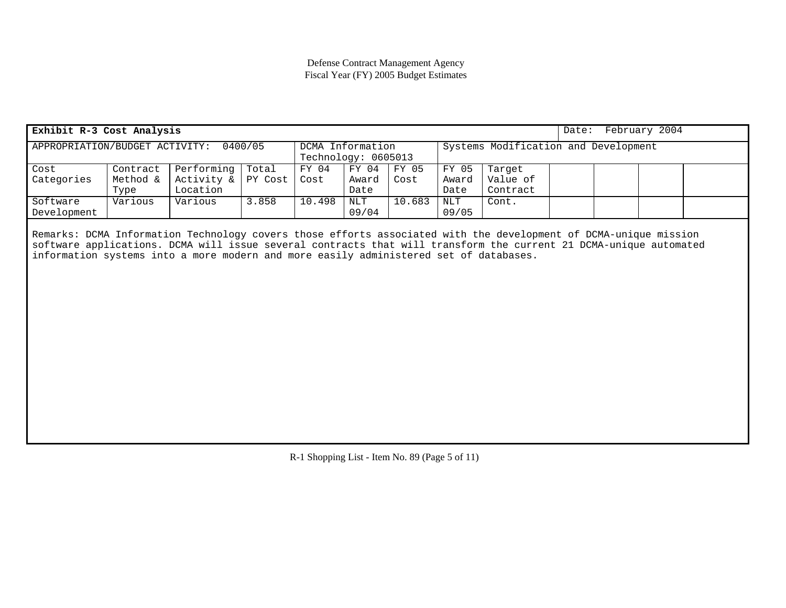| Exhibit R-3 Cost Analysis                                                                                                                                                                                  |          |            |         |                                         |              |        |            |                                      | Date: | February 2004 |  |
|------------------------------------------------------------------------------------------------------------------------------------------------------------------------------------------------------------|----------|------------|---------|-----------------------------------------|--------------|--------|------------|--------------------------------------|-------|---------------|--|
| APPROPRIATION/BUDGET ACTIVITY:                                                                                                                                                                             |          |            | 0400/05 | DCMA Information<br>Technology: 0605013 |              |        |            | Systems Modification and Development |       |               |  |
| Cost                                                                                                                                                                                                       | Contract | Performing | Total   | FY 04                                   | FY 04        | FY 05  | FY 05      | Target                               |       |               |  |
| Categories                                                                                                                                                                                                 | Method & | Activity & | PY Cost | Cost                                    | Award        | Cost   | Award      | Value of                             |       |               |  |
|                                                                                                                                                                                                            | Type     | Location   |         |                                         | Date         |        | Date       | Contract                             |       |               |  |
| Software                                                                                                                                                                                                   | Various  | Various    | 3.858   | 10.498                                  | $\text{NLT}$ | 10.683 | <b>NLT</b> | Cont.                                |       |               |  |
| Development                                                                                                                                                                                                |          |            |         |                                         | 09/04        |        | 09/05      |                                      |       |               |  |
| software applications. DCMA will issue several contracts that will transform the current 21 DCMA-unique automated<br>information systems into a more modern and more easily administered set of databases. |          |            |         |                                         |              |        |            |                                      |       |               |  |

R-1 Shopping List - Item No. 89 (Page 5 of 11)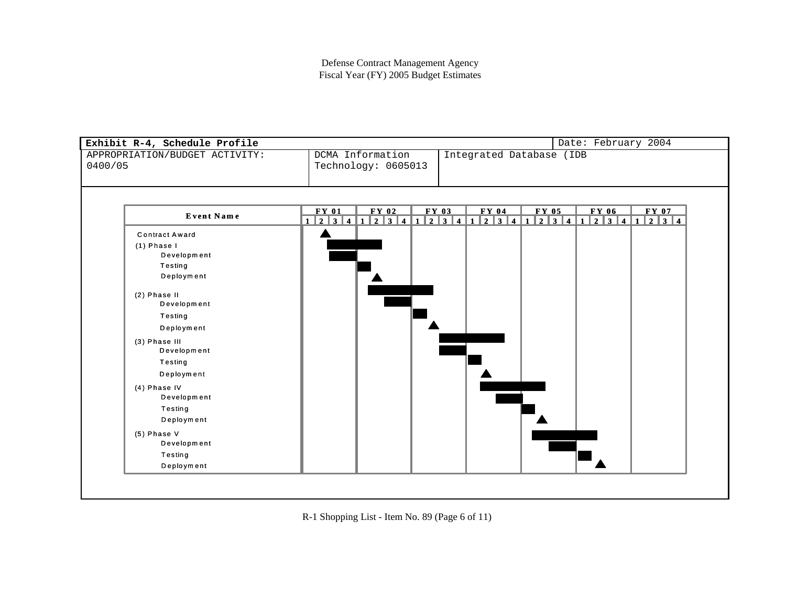| Exhibit R-4, Schedule Profile                                                                                                                                                                                                                                                                                    |                                                          |                                         |  |                          | Date: February 2004 |                                                           |
|------------------------------------------------------------------------------------------------------------------------------------------------------------------------------------------------------------------------------------------------------------------------------------------------------------------|----------------------------------------------------------|-----------------------------------------|--|--------------------------|---------------------|-----------------------------------------------------------|
| APPROPRIATION/BUDGET ACTIVITY:<br>0400/05                                                                                                                                                                                                                                                                        |                                                          | DCMA Information<br>Technology: 0605013 |  | Integrated Database (IDB |                     |                                                           |
| Event Name                                                                                                                                                                                                                                                                                                       | <b>FY 01</b><br>$\overline{2}$<br>3 4 <br>$\blacksquare$ | FY 02<br>$1 \ 2 \ 3 \ 4 \ 1$            |  |                          |                     | FY 03 FY 04 FY 05 FY 06 FY 07<br>123412341234123412341234 |
| <b>Contract Award</b><br>$(1)$ Phase I<br>Development<br>Testing<br>Deployment<br>(2) Phase II<br>Development<br>Testing<br>Deployment<br>(3) Phase III<br>Development<br>Testing<br>Deployment<br>(4) Phase IV<br>Development<br>Testing<br>Deployment<br>$(5)$ Phase V<br>Development<br>Testing<br>Deployment |                                                          |                                         |  |                          |                     |                                                           |

R-1 Shopping List - Item No. 89 (Page 6 of 11)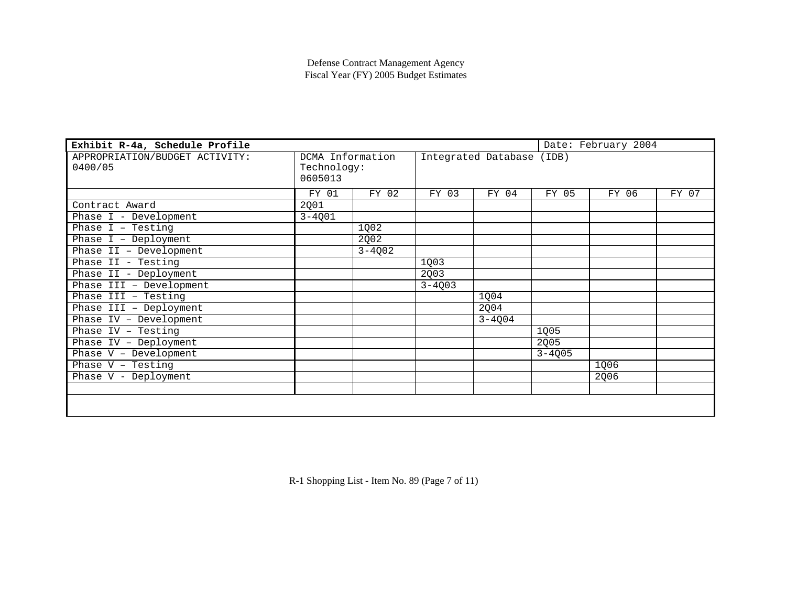| Exhibit R-4a, Schedule Profile            |                                            |            | Date: February 2004 |                           |            |       |       |  |  |
|-------------------------------------------|--------------------------------------------|------------|---------------------|---------------------------|------------|-------|-------|--|--|
| APPROPRIATION/BUDGET ACTIVITY:<br>0400/05 | DCMA Information<br>Technology:<br>0605013 |            |                     | Integrated Database (IDB) |            |       |       |  |  |
|                                           | FY 01                                      | FY 02      | FY 03               | FY 04                     | FY 05      | FY 06 | FY 07 |  |  |
| Contract Award                            | 2Q01                                       |            |                     |                           |            |       |       |  |  |
| Phase I - Development                     | $3 - 4001$                                 |            |                     |                           |            |       |       |  |  |
| Phase $I - Testing$                       |                                            | 1Q02       |                     |                           |            |       |       |  |  |
| Phase I - Deployment                      |                                            | 2Q02       |                     |                           |            |       |       |  |  |
| Phase II - Development                    |                                            | $3 - 4002$ |                     |                           |            |       |       |  |  |
| Phase II - Testing                        |                                            |            | 1Q03                |                           |            |       |       |  |  |
| Phase II - Deployment                     |                                            |            | 2Q03                |                           |            |       |       |  |  |
| Phase III - Development                   |                                            |            | $3 - 4003$          |                           |            |       |       |  |  |
| Phase $III - Testing$                     |                                            |            |                     | 1Q04                      |            |       |       |  |  |
| Phase III - Deployment                    |                                            |            |                     | 2Q04                      |            |       |       |  |  |
| Phase IV - Development                    |                                            |            |                     | $3 - 4Q04$                |            |       |       |  |  |
| Phase IV - Testing                        |                                            |            |                     |                           | 1Q05       |       |       |  |  |
| Phase IV - Deployment                     |                                            |            |                     |                           | 2Q05       |       |       |  |  |
| Phase V - Development                     |                                            |            |                     |                           | $3 - 4005$ |       |       |  |  |
| Phase $V - Testing$                       |                                            |            |                     |                           |            | 1Q06  |       |  |  |
| Phase V - Deployment                      |                                            |            |                     |                           |            | 2Q06  |       |  |  |
|                                           |                                            |            |                     |                           |            |       |       |  |  |
|                                           |                                            |            |                     |                           |            |       |       |  |  |

R-1 Shopping List - Item No. 89 (Page 7 of 11)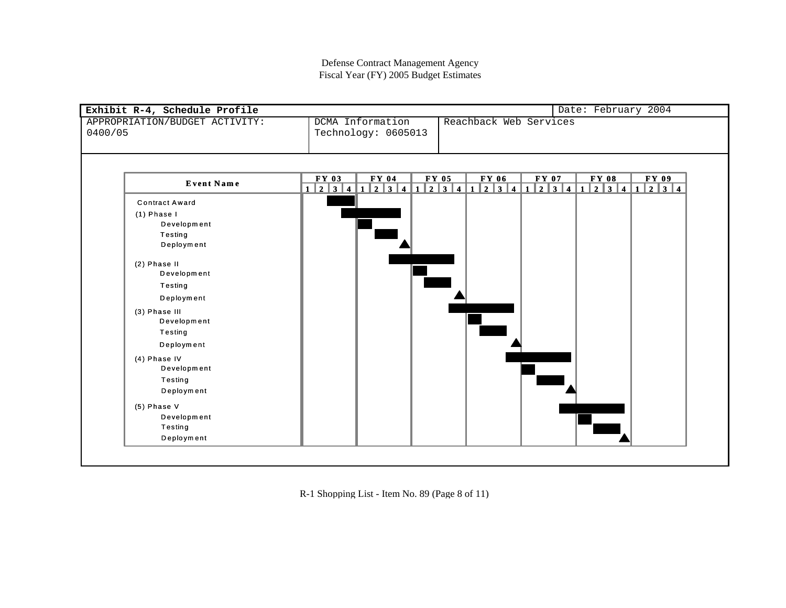

R-1 Shopping List - Item No. 89 (Page 8 of 11)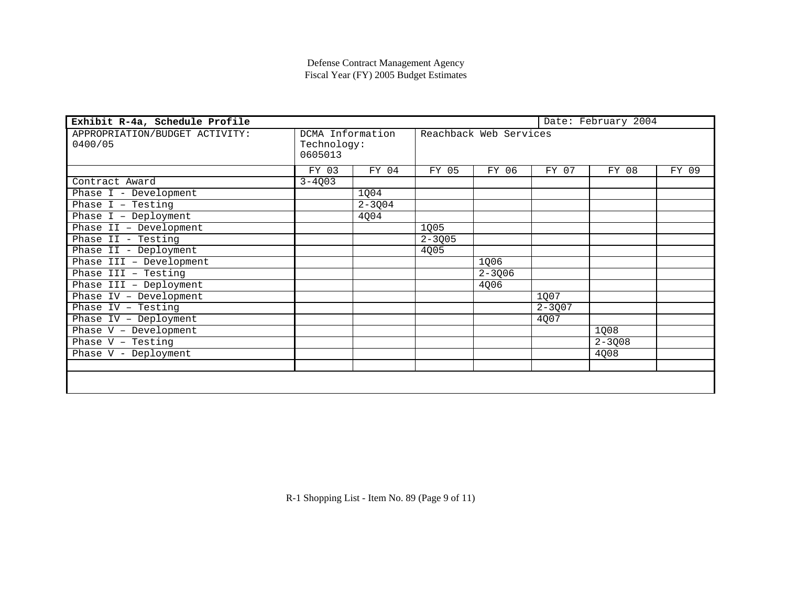| Exhibit R-4a, Schedule Profile            |            |                                 |            |                        |            | Date: February 2004 |       |  |  |
|-------------------------------------------|------------|---------------------------------|------------|------------------------|------------|---------------------|-------|--|--|
| APPROPRIATION/BUDGET ACTIVITY:<br>0400/05 | 0605013    | DCMA Information<br>Technology: |            | Reachback Web Services |            |                     |       |  |  |
|                                           | FY 03      | FY 04                           | FY 05      | FY 06                  | FY 07      | FY 08               | FY 09 |  |  |
| Contract Award                            | $3 - 4003$ |                                 |            |                        |            |                     |       |  |  |
| Phase I - Development                     |            | 1Q04                            |            |                        |            |                     |       |  |  |
| Phase $I - Testing$                       |            | $2 - 3004$                      |            |                        |            |                     |       |  |  |
| Phase $I - \overline{Deployment}$         |            | 4Q04                            |            |                        |            |                     |       |  |  |
| Phase II - Development                    |            |                                 | 1005       |                        |            |                     |       |  |  |
| Phase II - Testing                        |            |                                 | $2 - 3Q05$ |                        |            |                     |       |  |  |
| Phase II - Deployment                     |            |                                 | 4Q05       |                        |            |                     |       |  |  |
| Phase III - Development                   |            |                                 |            | 1Q06                   |            |                     |       |  |  |
| Phase $III - Testing$                     |            |                                 |            | $2 - 3Q06$             |            |                     |       |  |  |
| Phase III - Deployment                    |            |                                 |            | 4006                   |            |                     |       |  |  |
| Phase IV - Development                    |            |                                 |            |                        | 1Q07       |                     |       |  |  |
| Phase IV - Testing                        |            |                                 |            |                        | $2 - 3007$ |                     |       |  |  |
| Phase IV - Deployment                     |            |                                 |            |                        | 4Q07       |                     |       |  |  |
| Phase V - Development                     |            |                                 |            |                        |            | 1Q08                |       |  |  |
| Phase $V - Testing$                       |            |                                 |            |                        |            | $2 - 3008$          |       |  |  |
| Phase V - Deployment                      |            |                                 |            |                        |            | 4Q08                |       |  |  |
|                                           |            |                                 |            |                        |            |                     |       |  |  |
|                                           |            |                                 |            |                        |            |                     |       |  |  |

R-1 Shopping List - Item No. 89 (Page 9 of 11)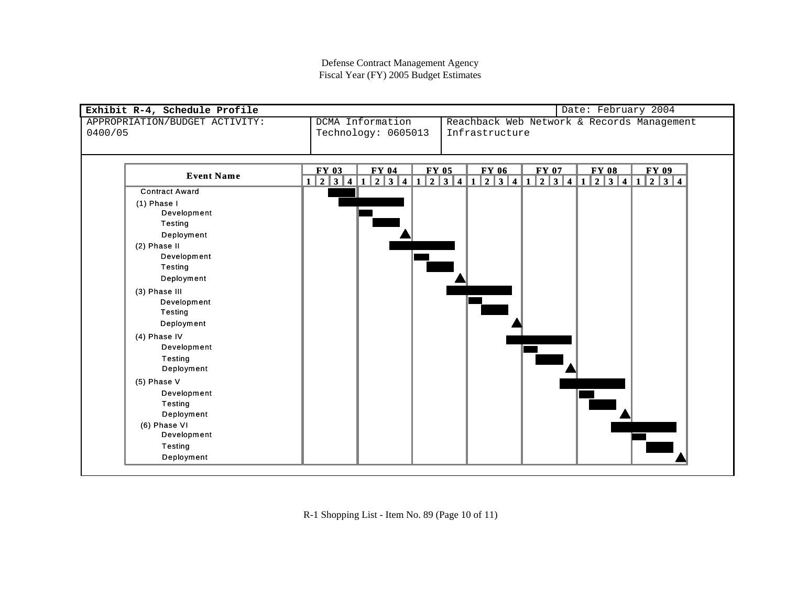| Exhibit R-4, Schedule Profile  |                                                                |                                                                           |  |  |                |                                              | Date: February 2004 |  |  |
|--------------------------------|----------------------------------------------------------------|---------------------------------------------------------------------------|--|--|----------------|----------------------------------------------|---------------------|--|--|
| APPROPRIATION/BUDGET ACTIVITY: | DCMA Information<br>Reachback Web Network & Records Management |                                                                           |  |  |                |                                              |                     |  |  |
| 0400/05                        |                                                                | Technology: 0605013                                                       |  |  | Infrastructure |                                              |                     |  |  |
|                                |                                                                |                                                                           |  |  |                |                                              |                     |  |  |
|                                |                                                                |                                                                           |  |  |                |                                              |                     |  |  |
|                                | <b>FY 03</b><br><b>FY 04</b><br><b>FY 05</b><br><b>FY 06</b>   |                                                                           |  |  |                | <b>FY 07</b><br><b>FY 08</b><br><b>FY 09</b> |                     |  |  |
| <b>Event Name</b>              | 1 2 3                                                          | 4 1 2 3 4 1 2 3 4 1 2 3 4 1 2 3 4 1 2 3 4 1 2 3 4 1 2 3 4 1 2 3 4 1 2 3 4 |  |  |                |                                              |                     |  |  |
| <b>Contract Award</b>          |                                                                |                                                                           |  |  |                |                                              |                     |  |  |
| $(1)$ Phase I                  |                                                                |                                                                           |  |  |                |                                              |                     |  |  |
| Development                    |                                                                |                                                                           |  |  |                |                                              |                     |  |  |
| Testing                        |                                                                |                                                                           |  |  |                |                                              |                     |  |  |
| Deployment                     |                                                                |                                                                           |  |  |                |                                              |                     |  |  |
| (2) Phase II                   |                                                                |                                                                           |  |  |                |                                              |                     |  |  |
| Development                    |                                                                |                                                                           |  |  |                |                                              |                     |  |  |
| Testing                        |                                                                |                                                                           |  |  |                |                                              |                     |  |  |
| Deployment                     |                                                                |                                                                           |  |  |                |                                              |                     |  |  |
| (3) Phase III                  |                                                                |                                                                           |  |  |                |                                              |                     |  |  |
| Development                    |                                                                |                                                                           |  |  |                |                                              |                     |  |  |
| Testing                        |                                                                |                                                                           |  |  |                |                                              |                     |  |  |
| Deployment                     |                                                                |                                                                           |  |  |                |                                              |                     |  |  |
| (4) Phase IV                   |                                                                |                                                                           |  |  |                |                                              |                     |  |  |
| Development                    |                                                                |                                                                           |  |  |                |                                              |                     |  |  |
| Testing                        |                                                                |                                                                           |  |  |                |                                              |                     |  |  |
| Deployment                     |                                                                |                                                                           |  |  |                |                                              |                     |  |  |
| (5) Phase V                    |                                                                |                                                                           |  |  |                |                                              |                     |  |  |
| Development                    |                                                                |                                                                           |  |  |                |                                              |                     |  |  |
| Testing                        |                                                                |                                                                           |  |  |                |                                              |                     |  |  |
| Deployment                     |                                                                |                                                                           |  |  |                |                                              |                     |  |  |
| (6) Phase VI                   |                                                                |                                                                           |  |  |                |                                              |                     |  |  |
| Development                    |                                                                |                                                                           |  |  |                |                                              |                     |  |  |
| Testing                        |                                                                |                                                                           |  |  |                |                                              |                     |  |  |
| Deployment                     |                                                                |                                                                           |  |  |                |                                              |                     |  |  |
|                                |                                                                |                                                                           |  |  |                |                                              |                     |  |  |

R-1 Shopping List - Item No. 89 (Page 10 of 11)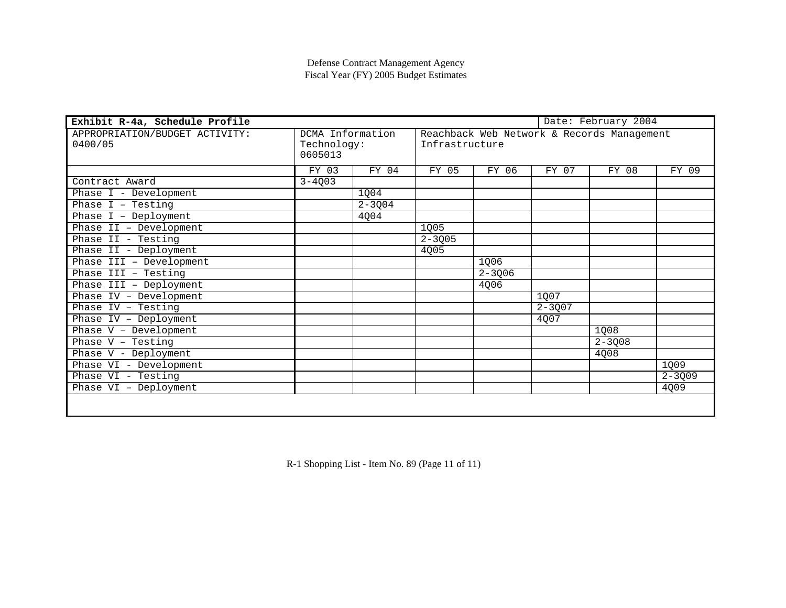| Exhibit R-4a, Schedule Profile            | Date: February 2004                        |            |                                                              |            |            |            |            |
|-------------------------------------------|--------------------------------------------|------------|--------------------------------------------------------------|------------|------------|------------|------------|
| APPROPRIATION/BUDGET ACTIVITY:<br>0400/05 | DCMA Information<br>Technology:<br>0605013 |            | Reachback Web Network & Records Management<br>Infrastructure |            |            |            |            |
|                                           | FY 03                                      | FY 04      | FY 05                                                        | FY 06      | FY 07      | FY 08      | FY 09      |
| Contract Award                            | $3 - 4003$                                 |            |                                                              |            |            |            |            |
| Phase I - Development                     |                                            | 1Q04       |                                                              |            |            |            |            |
| Phase $I - Testing$                       |                                            | $2 - 3004$ |                                                              |            |            |            |            |
| Phase I - Deployment                      |                                            | 4Q04       |                                                              |            |            |            |            |
| Phase II - Development                    |                                            |            | 1Q05                                                         |            |            |            |            |
| Phase II - Testing                        |                                            |            | $2 - 3Q05$                                                   |            |            |            |            |
| Phase II - Deployment                     |                                            |            | 4Q05                                                         |            |            |            |            |
| Phase III - Development                   |                                            |            |                                                              | 1Q06       |            |            |            |
| Phase III - Testing                       |                                            |            |                                                              | $2 - 3Q06$ |            |            |            |
| Phase III - Deployment                    |                                            |            |                                                              | 4Q06       |            |            |            |
| Phase IV - Development                    |                                            |            |                                                              |            | 1007       |            |            |
| Phase IV - Testing                        |                                            |            |                                                              |            | $2 - 3007$ |            |            |
| Phase IV - Deployment                     |                                            |            |                                                              |            | 4Q07       |            |            |
| Phase V - Development                     |                                            |            |                                                              |            |            | 1Q08       |            |
| Phase $V - Testing$                       |                                            |            |                                                              |            |            | $2 - 3Q08$ |            |
| Phase V - Deployment                      |                                            |            |                                                              |            |            | 4Q08       |            |
| Phase VI - Development                    |                                            |            |                                                              |            |            |            | 1Q09       |
| Phase VI - Testing                        |                                            |            |                                                              |            |            |            | $2 - 3Q09$ |
| Phase VI - Deployment                     |                                            |            |                                                              |            |            |            | 4Q09       |
|                                           |                                            |            |                                                              |            |            |            |            |

R-1 Shopping List - Item No. 89 (Page 11 of 11)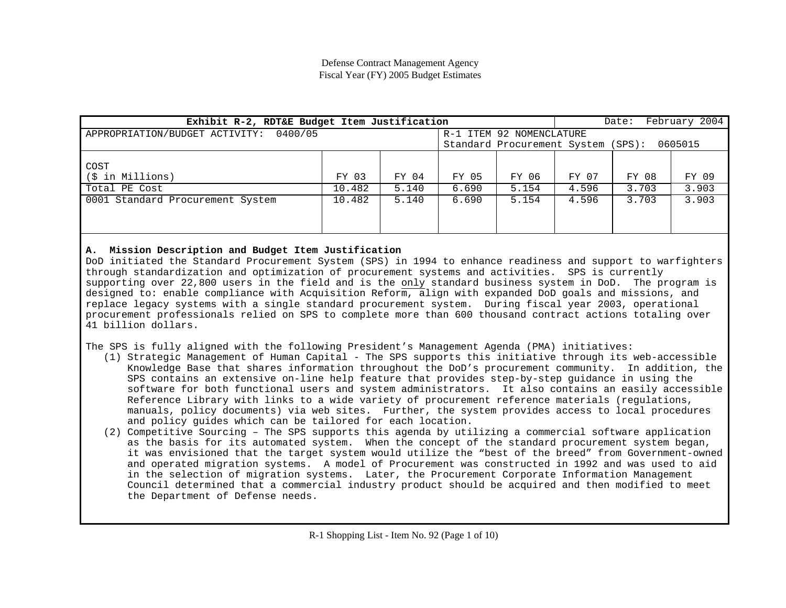| Exhibit R-2, RDT&E Budget Item Justification                                  |                           |                         |                                    |                         |                         | Date:                   | February 2004           |  |  |
|-------------------------------------------------------------------------------|---------------------------|-------------------------|------------------------------------|-------------------------|-------------------------|-------------------------|-------------------------|--|--|
| APPROPRIATION/BUDGET ACTIVITY:<br>0400/05                                     |                           |                         | R-1 ITEM 92 NOMENCLATURE           |                         |                         |                         |                         |  |  |
|                                                                               |                           |                         | Standard Procurement System (SPS): |                         |                         | 0605015                 |                         |  |  |
| COST<br>(\$ in Millions)<br>Total PE Cost<br>0001 Standard Procurement System | FY 03<br>10.482<br>10.482 | FY 04<br>5.140<br>5.140 | FY 05<br>6.690<br>6.690            | FY 06<br>5.154<br>5.154 | FY 07<br>4.596<br>4.596 | FY 08<br>3.703<br>3.703 | FY 09<br>3.903<br>3.903 |  |  |

### **A. Mission Description and Budget Item Justification**

DoD initiated the Standard Procurement System (SPS) in 1994 to enhance readiness and support to warfighters through standardization and optimization of procurement systems and activities. SPS is currently supporting over 22,800 users in the field and is the only standard business system in DoD. The program is designed to: enable compliance with Acquisition Reform, align with expanded DoD goals and missions, and replace legacy systems with a single standard procurement system. During fiscal year 2003, operational procurement professionals relied on SPS to complete more than 600 thousand contract actions totaling over 41 billion dollars.

The SPS is fully aligned with the following President's Management Agenda (PMA) initiatives:

- (1) Strategic Management of Human Capital The SPS supports this initiative through its web-accessible Knowledge Base that shares information throughout the DoD's procurement community. In addition, the SPS contains an extensive on-line help feature that provides step-by-step guidance in using the software for both functional users and system administrators. It also contains an easily accessible Reference Library with links to a wide variety of procurement reference materials (regulations, manuals, policy documents) via web sites. Further, the system provides access to local procedures and policy guides which can be tailored for each location.
- (2) Competitive Sourcing The SPS supports this agenda by utilizing a commercial software application as the basis for its automated system. When the concept of the standard procurement system began, it was envisioned that the target system would utilize the "best of the breed" from Government-owned and operated migration systems. A model of Procurement was constructed in 1992 and was used to aid in the selection of migration systems. Later, the Procurement Corporate Information Management Council determined that a commercial industry product should be acquired and then modified to meet the Department of Defense needs.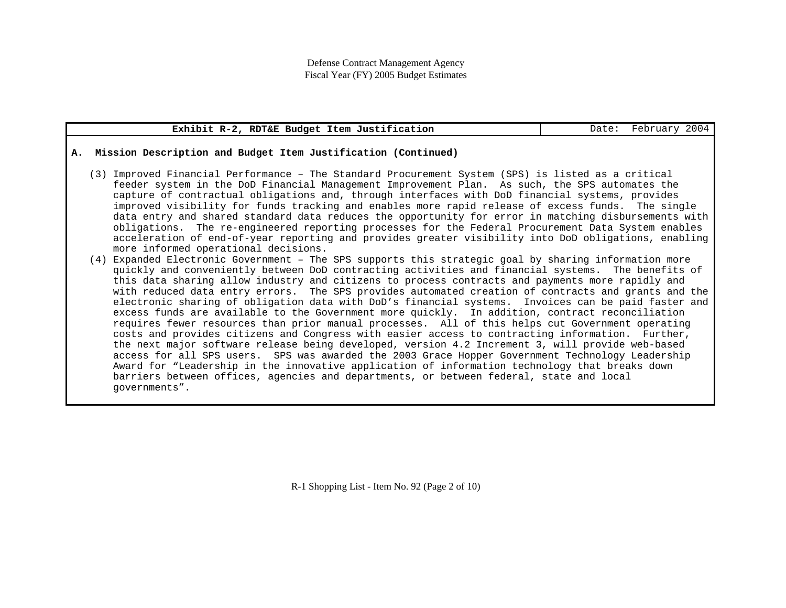| Exhibit R-2, RDT&E Budget Item Justification |
|----------------------------------------------|
|----------------------------------------------|

### **A. Mission Description and Budget Item Justification (Continued)**

- (3) Improved Financial Performance The Standard Procurement System (SPS) is listed as a critical feeder system in the DoD Financial Management Improvement Plan. As such, the SPS automates the capture of contractual obligations and, through interfaces with DoD financial systems, provides improved visibility for funds tracking and enables more rapid release of excess funds. The single data entry and shared standard data reduces the opportunity for error in matching disbursements with obligations. The re-engineered reporting processes for the Federal Procurement Data System enables acceleration of end-of-year reporting and provides greater visibility into DoD obligations, enabling more informed operational decisions.
- (4) Expanded Electronic Government The SPS supports this strategic goal by sharing information more quickly and conveniently between DoD contracting activities and financial systems. The benefits of this data sharing allow industry and citizens to process contracts and payments more rapidly and with reduced data entry errors. The SPS provides automated creation of contracts and grants and the electronic sharing of obligation data with DoD's financial systems. Invoices can be paid faster and excess funds are available to the Government more quickly. In addition, contract reconciliation requires fewer resources than prior manual processes. All of this helps cut Government operating costs and provides citizens and Congress with easier access to contracting information. Further, the next major software release being developed, version 4.2 Increment 3, will provide web-based access for all SPS users. SPS was awarded the 2003 Grace Hopper Government Technology Leadership Award for "Leadership in the innovative application of information technology that breaks down barriers between offices, agencies and departments, or between federal, state and local governments".

R-1 Shopping List - Item No. 92 (Page 2 of 10)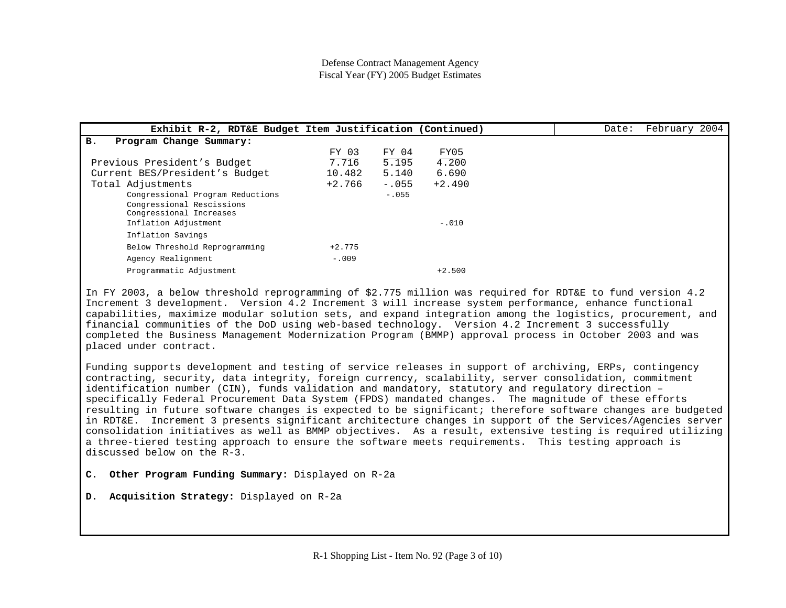| Exhibit R-2, RDT&E Budget Item Justification (Continued) |          |         |          | Date: | February 2004 |  |
|----------------------------------------------------------|----------|---------|----------|-------|---------------|--|
| <b>B.</b><br>Program Change Summary:                     |          |         |          |       |               |  |
|                                                          | FY 03    | FY 04   | FY05     |       |               |  |
| Previous President's Budget                              | 7.716    | 5.195   | 4.200    |       |               |  |
| Current BES/President's Budget                           | 10.482   | 5.140   | 6.690    |       |               |  |
| Total Adjustments                                        | $+2.766$ | $-0.55$ | $+2.490$ |       |               |  |
| Congressional Program Reductions                         |          | $-0.55$ |          |       |               |  |
| Congressional Rescissions                                |          |         |          |       |               |  |
| Congressional Increases                                  |          |         |          |       |               |  |
| Inflation Adjustment                                     |          |         | $-.010$  |       |               |  |
| Inflation Savings                                        |          |         |          |       |               |  |
| Below Threshold Reprogramming                            | $+2.775$ |         |          |       |               |  |
| Agency Realignment                                       | $-.009$  |         |          |       |               |  |
| Programmatic Adjustment                                  |          |         | $+2.500$ |       |               |  |

In FY 2003, a below threshold reprogramming of \$2.775 million was required for RDT&E to fund version 4.2 Increment 3 development. Version 4.2 Increment 3 will increase system performance, enhance functional capabilities, maximize modular solution sets, and expand integration among the logistics, procurement, and financial communities of the DoD using web-based technology. Version 4.2 Increment 3 successfully completed the Business Management Modernization Program (BMMP) approval process in October 2003 and was placed under contract.

Funding supports development and testing of service releases in support of archiving, ERPs, contingency contracting, security, data integrity, foreign currency, scalability, server consolidation, commitment identification number (CIN), funds validation and mandatory, statutory and regulatory direction – specifically Federal Procurement Data System (FPDS) mandated changes. The magnitude of these efforts resulting in future software changes is expected to be significant; therefore software changes are budgeted in RDT&E. Increment 3 presents significant architecture changes in support of the Services/Agencies server consolidation initiatives as well as BMMP objectives. As a result, extensive testing is required utilizing a three-tiered testing approach to ensure the software meets requirements. This testing approach is discussed below on the R-3.

- **C. Other Program Funding Summary:** Displayed on R-2a
- **D. Acquisition Strategy:** Displayed on R-2a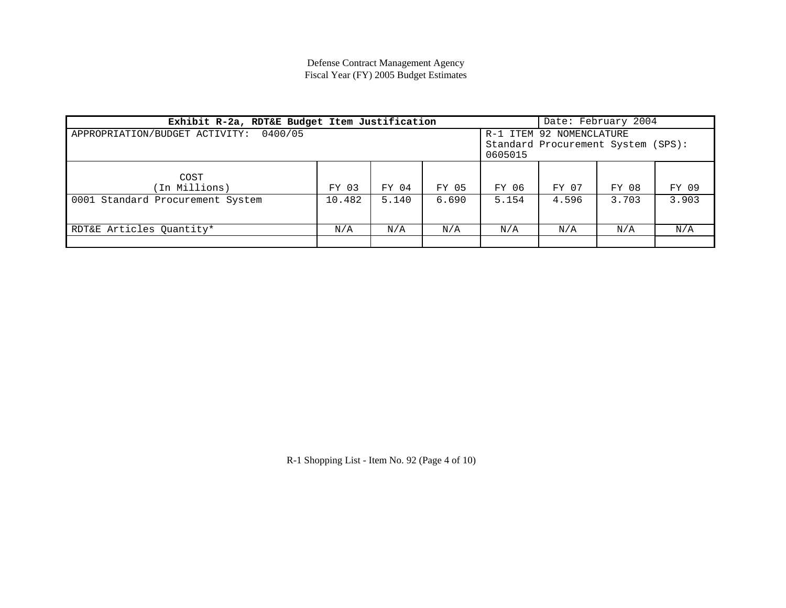| Exhibit R-2a, RDT&E Budget Item Justification |        |                          | Date: February 2004 |         |                                    |       |       |
|-----------------------------------------------|--------|--------------------------|---------------------|---------|------------------------------------|-------|-------|
| APPROPRIATION/BUDGET ACTIVITY:<br>0400/05     |        | R-1 ITEM 92 NOMENCLATURE |                     |         |                                    |       |       |
|                                               |        |                          |                     |         | Standard Procurement System (SPS): |       |       |
|                                               |        |                          |                     | 0605015 |                                    |       |       |
|                                               |        |                          |                     |         |                                    |       |       |
| COST                                          |        |                          |                     |         |                                    |       |       |
| (In Millions)                                 | FY 03  | FY 04                    | FY 05               | FY 06   | FY 07                              | FY 08 | FY 09 |
| 0001 Standard Procurement System              | 10.482 | 5.140                    | 6.690               | 5.154   | 4.596                              | 3.703 | 3.903 |
|                                               |        |                          |                     |         |                                    |       |       |
|                                               |        |                          |                     |         |                                    |       |       |
| RDT&E Articles Ouantity*                      | N/A    | N/A                      | N/A                 | N/A     | N/A                                | N/A   | N/A   |
|                                               |        |                          |                     |         |                                    |       |       |

R-1 Shopping List - Item No. 92 (Page 4 of 10)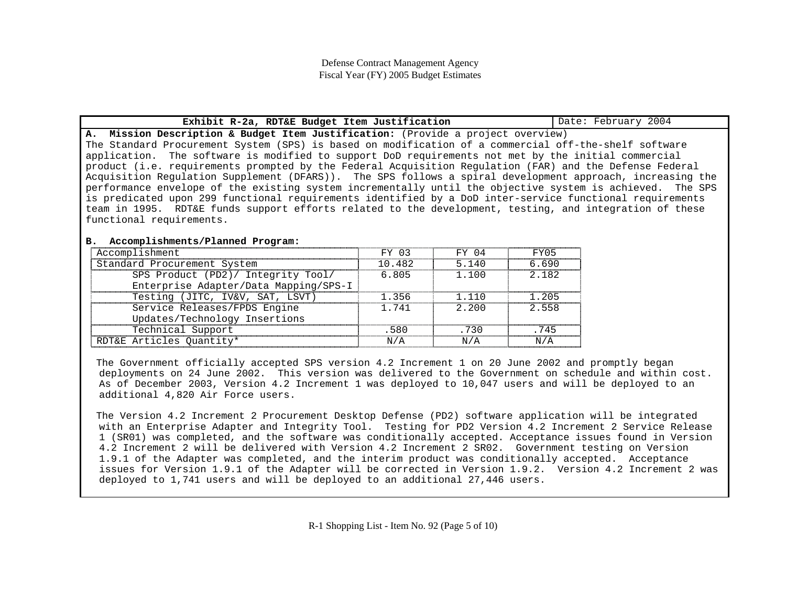# **Exhibit R-2a, RDT&E Budget Item Justification | Date: February 2004**

**A. Mission Description & Budget Item Justification:** (Provide a project overview) The Standard Procurement System (SPS) is based on modification of a commercial off-the-shelf software application. The software is modified to support DoD requirements not met by the initial commercial product (i.e. requirements prompted by the Federal Acquisition Regulation (FAR) and the Defense Federal Acquisition Regulation Supplement (DFARS)). The SPS follows a spiral development approach, increasing the performance envelope of the existing system incrementally until the objective system is achieved. The SPS is predicated upon 299 functional requirements identified by a DoD inter-service functional requirements team in 1995. RDT&E funds support efforts related to the development, testing, and integration of these functional requirements.

### **B. Accomplishments/Planned Program:**

| Accomplishment                        | FY 03  | FY 04 | FY05  |
|---------------------------------------|--------|-------|-------|
| Standard Procurement System           | 10.482 | 5.140 | 6.690 |
| SPS Product (PD2)/ Integrity Tool/    | 6.805  | 1,100 | 2.182 |
| Enterprise Adapter/Data Mapping/SPS-I |        |       |       |
| Testing (JITC, IV&V, SAT, LSVT)       | 1.356  | 1.110 | 1.205 |
| Service Releases/FPDS Engine          | 1.741  | 2.200 | 2.558 |
| Updates/Technology Insertions         |        |       |       |
| Technical Support                     | .580   | .730  | .745  |
| RDT&E Articles Quantity*              | N/A    | N/A   | N/A   |

 The Government officially accepted SPS version 4.2 Increment 1 on 20 June 2002 and promptly began deployments on 24 June 2002. This version was delivered to the Government on schedule and within cost. As of December 2003, Version 4.2 Increment 1 was deployed to 10,047 users and will be deployed to an additional 4,820 Air Force users.

 The Version 4.2 Increment 2 Procurement Desktop Defense (PD2) software application will be integrated with an Enterprise Adapter and Integrity Tool. Testing for PD2 Version 4.2 Increment 2 Service Release 1 (SR01) was completed, and the software was conditionally accepted. Acceptance issues found in Version 4.2 Increment 2 will be delivered with Version 4.2 Increment 2 SR02. Government testing on Version 1.9.1 of the Adapter was completed, and the interim product was conditionally accepted. Acceptance issues for Version 1.9.1 of the Adapter will be corrected in Version 1.9.2. Version 4.2 Increment 2 was deployed to 1,741 users and will be deployed to an additional 27,446 users.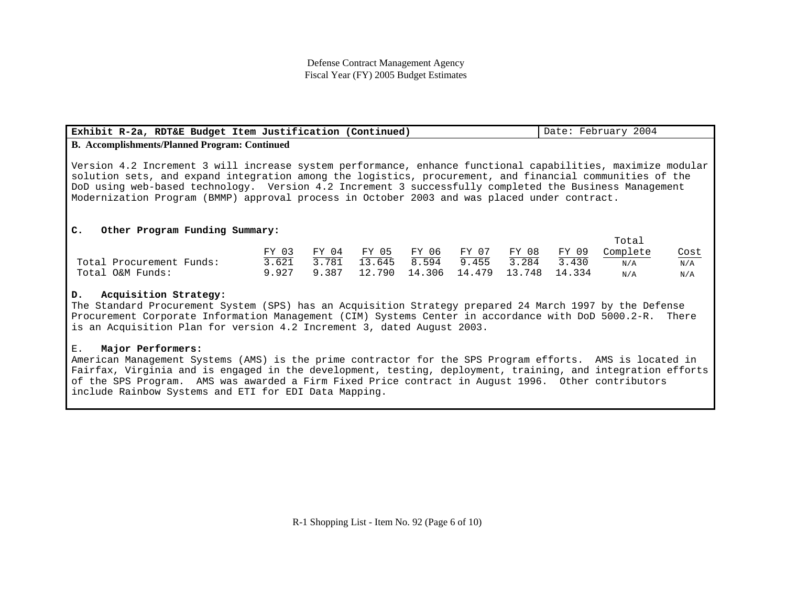| Exhibit R-2a, RDT&E Budget Item Justification (Continued)                                                                                                                                                                                                                                                                                                                                                                                                                             |       |       |        |        |        |        |        | Date: February 2004 |      |
|---------------------------------------------------------------------------------------------------------------------------------------------------------------------------------------------------------------------------------------------------------------------------------------------------------------------------------------------------------------------------------------------------------------------------------------------------------------------------------------|-------|-------|--------|--------|--------|--------|--------|---------------------|------|
| <b>B.</b> Accomplishments/Planned Program: Continued                                                                                                                                                                                                                                                                                                                                                                                                                                  |       |       |        |        |        |        |        |                     |      |
| Version 4.2 Increment 3 will increase system performance, enhance functional capabilities, maximize modular<br>solution sets, and expand integration among the logistics, procurement, and financial communities of the<br>DoD using web-based technology. Version 4.2 Increment 3 successfully completed the Business Management<br>Modernization Program (BMMP) approval process in October 2003 and was placed under contract.<br>Other Program Funding Summary:<br>$\mathbf{C}$ . |       |       |        |        |        |        |        |                     |      |
|                                                                                                                                                                                                                                                                                                                                                                                                                                                                                       |       |       |        |        |        |        |        | Total               |      |
|                                                                                                                                                                                                                                                                                                                                                                                                                                                                                       | FY 03 | FY 04 | FY 05  | FY 06  | FY 07  | FY 08  | FY 09  | Complete            | Cost |
| Total Procurement Funds:                                                                                                                                                                                                                                                                                                                                                                                                                                                              | 3.621 | 3.781 | 13.645 | 8.594  | 9.455  | 3.284  | 3.430  | N/A                 | N/A  |
| Total O&M Funds:                                                                                                                                                                                                                                                                                                                                                                                                                                                                      | 9.927 | 9.387 | 12.790 | 14.306 | 14.479 | 13.748 | 14.334 | N/A                 | N/A  |

### **D. Acquisition Strategy:**

The Standard Procurement System (SPS) has an Acquisition Strategy prepared 24 March 1997 by the Defense Procurement Corporate Information Management (CIM) Systems Center in accordance with DoD 5000.2-R. There is an Acquisition Plan for version 4.2 Increment 3, dated August 2003.

#### E. **Major Performers:**

American Management Systems (AMS) is the prime contractor for the SPS Program efforts. AMS is located in Fairfax, Virginia and is engaged in the development, testing, deployment, training, and integration efforts of the SPS Program. AMS was awarded a Firm Fixed Price contract in August 1996. Other contributors include Rainbow Systems and ETI for EDI Data Mapping.

R-1 Shopping List - Item No. 92 (Page 6 of 10)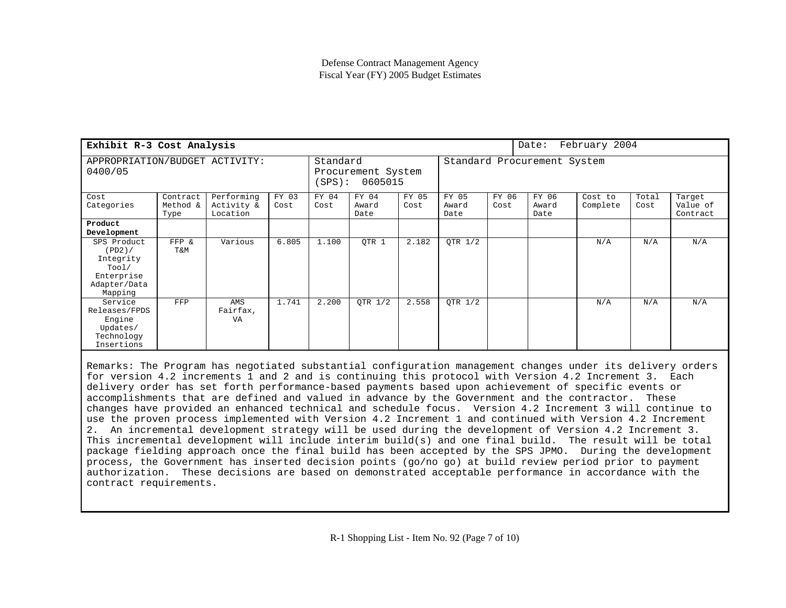| Exhibit R-3 Cost Analysis                                                            |                              |                                      |                                                     |               |                        |                             |                        |               |                        | February 2004       |               |                                |
|--------------------------------------------------------------------------------------|------------------------------|--------------------------------------|-----------------------------------------------------|---------------|------------------------|-----------------------------|------------------------|---------------|------------------------|---------------------|---------------|--------------------------------|
| APPROPRIATION/BUDGET ACTIVITY:<br>0400/05                                            |                              |                                      | Standard<br>Procurement System<br>0605015<br>(SPS): |               |                        | Standard Procurement System |                        |               |                        |                     |               |                                |
| Cost<br>Categories                                                                   | Contract<br>Method &<br>Type | Performing<br>Activity &<br>Location | FY 03<br>Cost                                       | FY 04<br>Cost | FY 04<br>Award<br>Date | FY 05<br>Cost               | FY 05<br>Award<br>Date | FY 06<br>Cost | FY 06<br>Award<br>Date | Cost to<br>Complete | Total<br>Cost | Target<br>Value of<br>Contract |
| Product<br>Development                                                               |                              |                                      |                                                     |               |                        |                             |                        |               |                        |                     |               |                                |
| SPS Product<br>(PD2)/<br>Integrity<br>Tool/<br>Enterprise<br>Adapter/Data<br>Mapping | FFP &<br><b>Τ&amp;Μ</b>      | Various                              | 6.805                                               | 1.100         | OTR 1                  | 2.182                       | OTR 1/2                |               |                        | N/A                 | N/A           | N/A                            |
| Service<br>Releases/FPDS<br>Engine<br>Updates/<br>Technology<br>Insertions           | FFP                          | AMS<br>Fairfax,<br>VA                | 1.741                                               | 2.200         | OTR 1/2                | 2.558                       | OTR 1/2                |               |                        | N/A                 | N/A           | N/A                            |

Remarks: The Program has negotiated substantial configuration management changes under its delivery orders for version 4.2 increments 1 and 2 and is continuing this protocol with Version 4.2 Increment 3. Each delivery order has set forth performance-based payments based upon achievement of specific events or accomplishments that are defined and valued in advance by the Government and the contractor. These changes have provided an enhanced technical and schedule focus. Version 4.2 Increment 3 will continue to use the proven process implemented with Version 4.2 Increment 1 and continued with Version 4.2 Increment 2. An incremental development strategy will be used during the development of Version 4.2 Increment 3. This incremental development will include interim build(s) and one final build. The result will be total package fielding approach once the final build has been accepted by the SPS JPMO. During the development process, the Government has inserted decision points (go/no go) at build review period prior to payment authorization. These decisions are based on demonstrated acceptable performance in accordance with the contract requirements.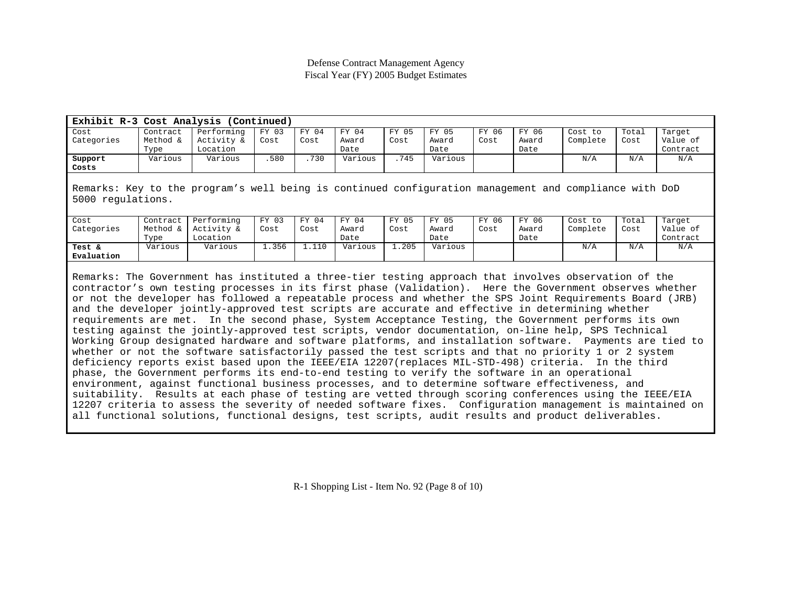| Exhibit R-3 Cost Analysis (Continued)                                                                                       |                                                                                                       |                                      |               |               |                        |               |                        |               |                        |                     |               |                                |
|-----------------------------------------------------------------------------------------------------------------------------|-------------------------------------------------------------------------------------------------------|--------------------------------------|---------------|---------------|------------------------|---------------|------------------------|---------------|------------------------|---------------------|---------------|--------------------------------|
| Cost<br>Categories                                                                                                          | Contract<br>Method &<br>Type                                                                          | Performing<br>Activity &<br>Location | FY 03<br>Cost | FY 04<br>Cost | FY 04<br>Award<br>Date | FY 05<br>Cost | FY 05<br>Award<br>Date | FY 06<br>Cost | FY 06<br>Award<br>Date | Cost to<br>Complete | Total<br>Cost | Target<br>Value of<br>Contract |
| Support<br>Costs                                                                                                            | Various                                                                                               | Various                              | .580          | .730          | Various                | .745          | Various                |               |                        | N/A                 | N/A           | N/A                            |
| Remarks: Key to the program's well being is continued configuration management and compliance with DoD<br>5000 regulations. |                                                                                                       |                                      |               |               |                        |               |                        |               |                        |                     |               |                                |
| Cost<br>Categories                                                                                                          | Contract<br>Method &<br>Type                                                                          | Performing<br>Activity &<br>Location | FY 03<br>Cost | FY 04<br>Cost | FY 04<br>Award<br>Date | FY 05<br>Cost | FY 05<br>Award<br>Date | FY 06<br>Cost | FY 06<br>Award<br>Date | Cost to<br>Complete | Total<br>Cost | Target<br>Value of<br>Contract |
| Test &<br>Evaluation                                                                                                        | Various                                                                                               | Various                              | 1.356         | 1.110         | Various                | 1.205         | Various                |               |                        | N/A                 | N/A           | N/A                            |
|                                                                                                                             | Remarks: The Government has instituted a three-tier testing approach that involves observation of the |                                      |               |               |                        |               |                        |               |                        |                     |               |                                |

Rovernment has instituted a three-tier testing approach that involves observation of the contractor's own testing processes in its first phase (Validation). Here the Government observes whether or not the developer has followed a repeatable process and whether the SPS Joint Requirements Board (JRB) and the developer jointly-approved test scripts are accurate and effective in determining whether requirements are met. In the second phase, System Acceptance Testing, the Government performs its own testing against the jointly-approved test scripts, vendor documentation, on-line help, SPS Technical Working Group designated hardware and software platforms, and installation software. Payments are tied to whether or not the software satisfactorily passed the test scripts and that no priority 1 or 2 system deficiency reports exist based upon the IEEE/EIA 12207(replaces MIL-STD-498) criteria. In the third phase, the Government performs its end-to-end testing to verify the software in an operational environment, against functional business processes, and to determine software effectiveness, and suitability. Results at each phase of testing are vetted through scoring conferences using the IEEE/EIA 12207 criteria to assess the severity of needed software fixes. Configuration management is maintained on all functional solutions, functional designs, test scripts, audit results and product deliverables.

R-1 Shopping List - Item No. 92 (Page 8 of 10)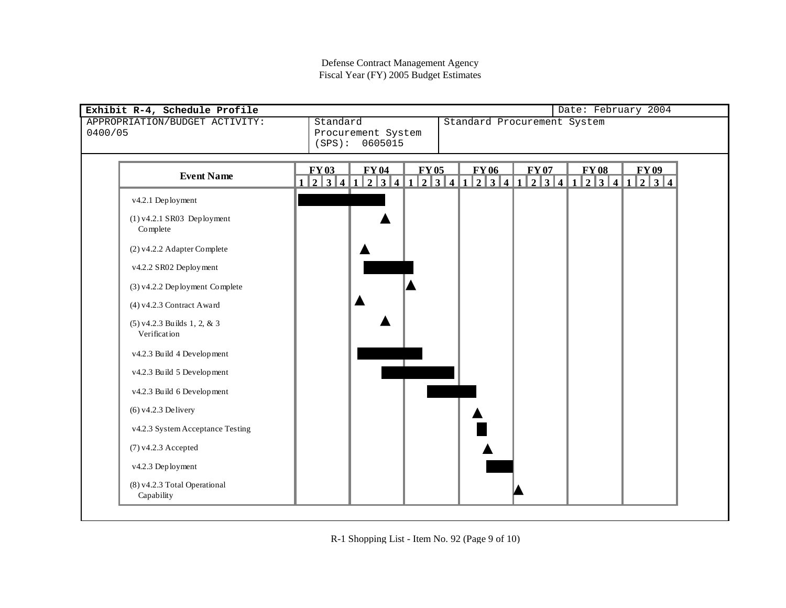|                                                                                                            | Exhibit R-4, Schedule Profile                 |             |             |             |  |             |             | Date: February 2004                                                                    |             |  |
|------------------------------------------------------------------------------------------------------------|-----------------------------------------------|-------------|-------------|-------------|--|-------------|-------------|----------------------------------------------------------------------------------------|-------------|--|
| APPROPRIATION/BUDGET ACTIVITY:<br>Standard<br>Standard Procurement System<br>0400/05<br>Procurement System |                                               |             |             |             |  |             |             |                                                                                        |             |  |
|                                                                                                            |                                               | (SPS):      | 0605015     |             |  |             |             |                                                                                        |             |  |
|                                                                                                            |                                               |             |             |             |  |             |             |                                                                                        |             |  |
|                                                                                                            | <b>Event Name</b>                             | <b>FY03</b> | <b>FY04</b> | <b>FY05</b> |  | <b>FY06</b> | <b>FY07</b> | <b>FY08</b><br>1 2 3 4 1 2 3 4 1 2 3 4 1 2 3 4 1 2 3 4 1 2 3 4 1 2 3 4 1 2 3 4 1 2 3 4 | <b>FY09</b> |  |
|                                                                                                            | v4.2.1 Deployment                             |             |             |             |  |             |             |                                                                                        |             |  |
|                                                                                                            | (1) v4.2.1 SR03 Deployment<br>Complete        |             |             |             |  |             |             |                                                                                        |             |  |
|                                                                                                            | (2) v4.2.2 Adapter Complete                   |             |             |             |  |             |             |                                                                                        |             |  |
|                                                                                                            | v4.2.2 SR02 Deployment                        |             |             |             |  |             |             |                                                                                        |             |  |
|                                                                                                            | (3) v4.2.2 Deployment Complete                |             |             |             |  |             |             |                                                                                        |             |  |
|                                                                                                            | (4) v4.2.3 Contract Award                     |             |             |             |  |             |             |                                                                                        |             |  |
|                                                                                                            | $(5)$ v4.2.3 Builds 1, 2, & 3<br>Verification |             |             |             |  |             |             |                                                                                        |             |  |
|                                                                                                            | v4.2.3 Build 4 Development                    |             |             |             |  |             |             |                                                                                        |             |  |
|                                                                                                            | v4.2.3 Build 5 Development                    |             |             |             |  |             |             |                                                                                        |             |  |
|                                                                                                            | v4.2.3 Build 6 Development                    |             |             |             |  |             |             |                                                                                        |             |  |
|                                                                                                            | $(6)$ v4.2.3 Delivery                         |             |             |             |  |             |             |                                                                                        |             |  |
|                                                                                                            | v4.2.3 System Acceptance Testing              |             |             |             |  |             |             |                                                                                        |             |  |
|                                                                                                            | $(7)$ v4.2.3 Accepted                         |             |             |             |  |             |             |                                                                                        |             |  |
|                                                                                                            | v4.2.3 Deployment                             |             |             |             |  |             |             |                                                                                        |             |  |
|                                                                                                            | (8) v4.2.3 Total Operational<br>Capability    |             |             |             |  |             |             |                                                                                        |             |  |
|                                                                                                            |                                               |             |             |             |  |             |             |                                                                                        |             |  |